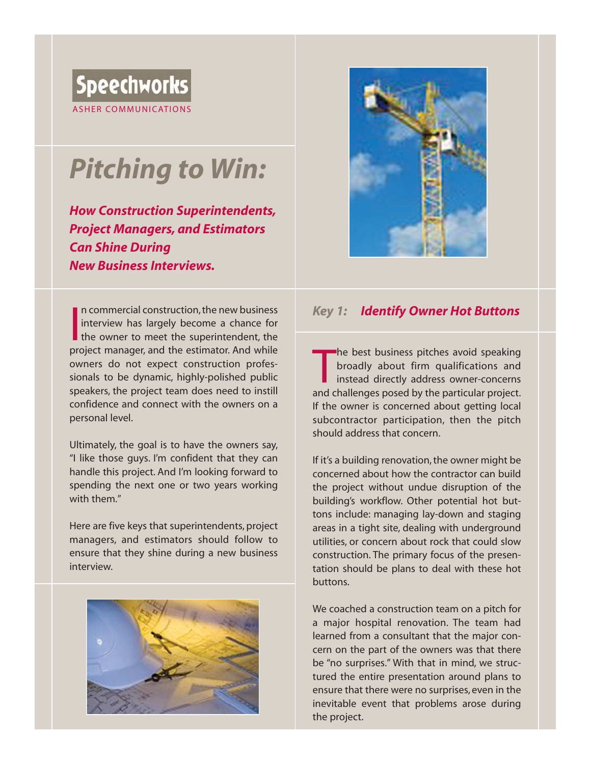# **Speechworks** ASHER COMMUNICATIONS

# *Pitching to Win:*

*How Construction Superintendents, Project Managers, and Estimators Can Shine During New Business Interviews.*

In commercial construction, the new business<br>interview has largely become a chance for<br>the owner to meet the superintendent, the<br>project manager, and the estimator. And while n commercial construction, the new business interview has largely become a chance for the owner to meet the superintendent, the owners do not expect construction professionals to be dynamic, highly-polished public speakers, the project team does need to instill confidence and connect with the owners on a personal level.

Ultimately, the goal is to have the owners say, "I like those guys. I'm confident that they can handle this project. And I'm looking forward to spending the next one or two years working with them."

Here are five keys that superintendents, project managers, and estimators should follow to ensure that they shine during a new business interview.





# *Key 1: Identify Owner Hot Buttons*

The best business pitches avoid speaking<br>broadly about firm qualifications and<br>instead directly address owner-concerns<br>and challenges posed by the particular project. he best business pitches avoid speaking broadly about firm qualifications and instead directly address owner-concerns If the owner is concerned about getting local subcontractor participation, then the pitch should address that concern.

If it's a building renovation, the owner might be concerned about how the contractor can build the project without undue disruption of the building's workflow. Other potential hot buttons include: managing lay-down and staging areas in a tight site, dealing with underground utilities, or concern about rock that could slow construction. The primary focus of the presentation should be plans to deal with these hot buttons.

We coached a construction team on a pitch for a major hospital renovation. The team had learned from a consultant that the major concern on the part of the owners was that there be "no surprises." With that in mind, we structured the entire presentation around plans to ensure that there were no surprises, even in the inevitable event that problems arose during the project.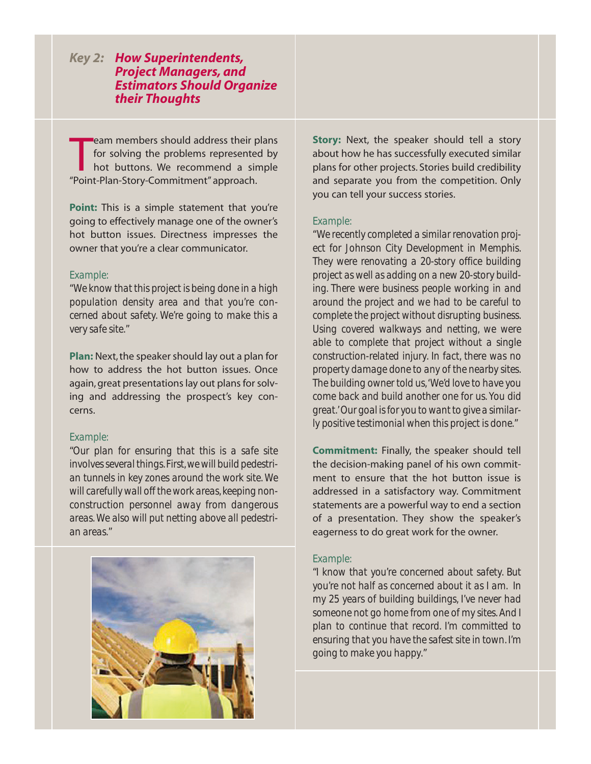# *Key 2: How Superintendents, Project Managers, and Estimators Should Organize their Thoughts*

The am members should address their point-<br>for solving the problems represente<br>hot buttons. We recommend a simple intervals and the recommend a simple.<br>The recommitment "approach. eam members should address their plans for solving the problems represented by hot buttons. We recommend a simple

**Point:** This is a simple statement that you're going to effectively manage one of the owner's hot button issues. Directness impresses the owner that you're a clear communicator.

#### *Example:*

*"We know that this project is being done in a high population density area and that you're concerned about safety. We're going to make this a very safe site."*

**Plan:** Next, the speaker should lay out a plan for how to address the hot button issues. Once again, great presentations lay out plans for solving and addressing the prospect's key concerns.

#### *Example:*

*"Our plan for ensuring that this is a safe site involves several things. First, we will build pedestrian tunnels in key zones around the work site. We will carefully wall off the work areas, keeping nonconstruction personnel away from dangerous areas. We also will put netting above all pedestrian areas."*



**Story:** Next, the speaker should tell a story about how he has successfully executed similar plans for other projects. Stories build credibility and separate you from the competition. Only you can tell your success stories.

#### *Example:*

*"We recently completed a similar renovation project for Johnson City Development in Memphis. They were renovating a 20-story office building project as well as adding on a new 20-story building. There were business people working in and around the project and we had to be careful to complete the project without disrupting business. Using covered walkways and netting, we were able to complete that project without a single construction-related injury. In fact, there was no property damage done to any of the nearby sites. The building owner told us,'We'd love to have you come back and build another one for us. You did great.' Our goal is for you to want to give a similarly positive testimonial when this project is done."*

**Commitment:** Finally, the speaker should tell the decision-making panel of his own commitment to ensure that the hot button issue is addressed in a satisfactory way. Commitment statements are a powerful way to end a section of a presentation. They show the speaker's eagerness to do great work for the owner.

#### *Example:*

*"I know that you're concerned about safety. But you're not half as concerned about it as I am. In my 25 years of building buildings, I've never had someone not go home from one of my sites. And I plan to continue that record. I'm committed to ensuring that you have the safest site in town. I'm going to make you happy."*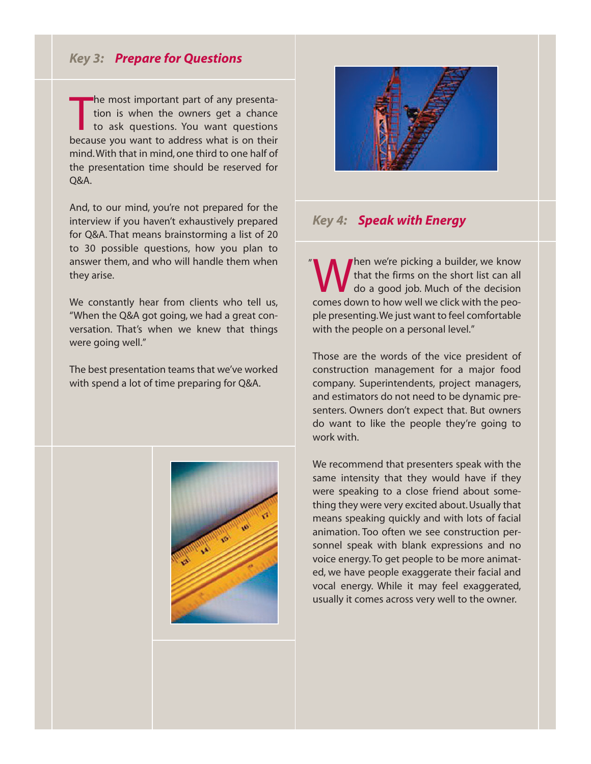# *Key 3: Prepare for Questions*

The most important part of any presentation is when the owners get a chance to ask questions. You want questions because you want to address what is on their he most important part of any presentation is when the owners get a chance to ask questions. You want questions mind.With that in mind, one third to one half of the presentation time should be reserved for Q&A.

And, to our mind, you're not prepared for the interview if you haven't exhaustively prepared for Q&A. That means brainstorming a list of 20 to 30 possible questions, how you plan to answer them, and who will handle them when they arise.

We constantly hear from clients who tell us, "When the Q&A got going, we had a great conversation. That's when we knew that things were going well."

The best presentation teams that we've worked with spend a lot of time preparing for Q&A.





## *Key 4: Speak with Energy*

When we're picking a builder, we know<br>that the firms on the short list can all<br>comes down to bow well we click with the neothat the firms on the short list can all do a good job. Much of the decision comes down to how well we click with the people presenting.We just want to feel comfortable with the people on a personal level." "

Those are the words of the vice president of construction management for a major food company. Superintendents, project managers, and estimators do not need to be dynamic presenters. Owners don't expect that. But owners do want to like the people they're going to work with.

We recommend that presenters speak with the same intensity that they would have if they were speaking to a close friend about something they were very excited about. Usually that means speaking quickly and with lots of facial animation. Too often we see construction personnel speak with blank expressions and no voice energy. To get people to be more animated, we have people exaggerate their facial and vocal energy. While it may feel exaggerated, usually it comes across very well to the owner.